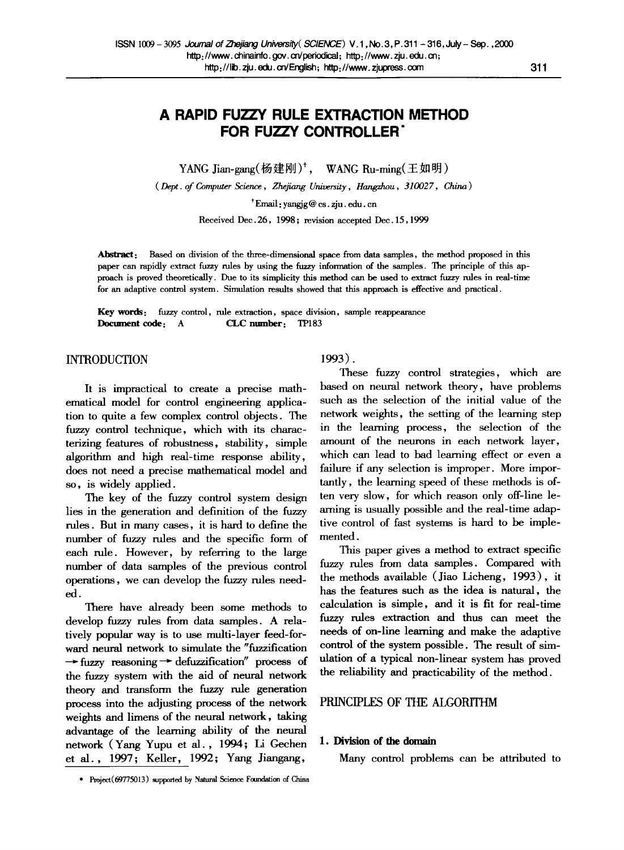# **A RAPID FUZZY RULE EXTRACTION METHOD FOR FUZZY CONTROLLER"**

YANG Jian-gang(杨建刚)<sup>†</sup>, WANG Ru-ming(王如明)

*( Dept.of Computer Science, Zhejiang University, Hangzhou, 310027, China)* 

+ Email: yangjg @ cs. zju. edu. cn

Received Dec. 26, 1998; revision accepted Dec. 15, 1999

Abstract: Based on division of the three-dimensional space from data samples, the method proposed in this paper can rapidly extract fuzzy rules by using the fuzzy information of the samples. The principle of this approach is proved theoretically. Due to its simplicity this method can be used to extract fuzzy rules in real-time for an adaptive control system. Simulation results showed that this approach is effective and practical.

Key words: fuzzy control, rule extraction, space division, sample reappearance Document code: A CLC number: TP183

## INTRODUCTION

It is impractical to create a precise mathematical model for control engineering application to quite a few complex control objects. The fuzzy control technique, which with its characterizing features of robustness, stability, simple algorithm and high real-time response ability, does not need a precise mathematical model and so, is widely applied.

The key of the fuzzy control system design lies in the generation and definition of the fuzzy rules. But in many cases, it is hard to define the number of fuzzy rules and the specific form of each rule. However, by referring to the large number of data samples of the previous control operations, we can develop the fuzzy rules needed.

There have already been some methods to develop fuzzy rules from data samples. A relatively popular way is to use multi-layer feed-forward neural network to simulate the "fuzzification  $\rightarrow$  fuzzy reasoning  $\rightarrow$  defuzzification" process of the fuzzy system with the aid of neural network theory and transform the fuzzy rule generation process into the adjusting process of the network weights and limens of the neural network, taking advantage of the learning ability of the neural network (Yang Yupu et al., 1994; Li Gechen et al., 1997; Keller, 1992; Yang Jiangang,

#### 1993).

These fuzzy control strategies, which are based on neural network theory, have problems such as the selection of the initial value of the network weights, the setting of the learning step in the learning process, the selection of the amount of the neurons in each network layer, which can lead to bad learning effect or even a failure if any selection is improper. More importantly, the learning speed of these methods is often very slow, for which reason only off-line learning is usually possible and the real-time adaptive control of fast systems is hard to be implemented.

This paper gives a method to extract specific fuzzy rules from data samples. Compared with the methods available (Jiao Lieheng, 1993), it has the features such as the idea is natural, the calculation is simple, and it is fit for real-time fuzzy rules extraction and thus can meet the needs of on-line learning and make the adaptive control of the system possible. The result of simulation of a typical non-linear system has proved the reliability and practicability of the method.

# PRINCIPLES OF THE ALGORITHM

#### **1. Division of the** domain

Many control problems can be attributed to

<sup>\*</sup> Project(69775013) supported by Natural Science Foundation of China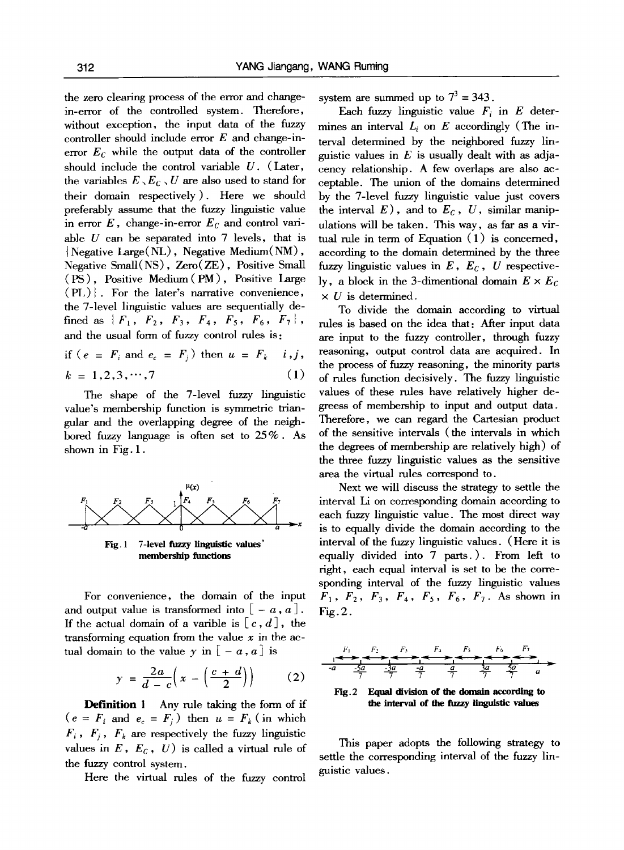the zero clearing process of the error and changein-error of the controlled system. Therefore, without exception, the input data of the fuzzy controller should include error  $E$  and change-inerror *Ec* while the output data of the controller should include the control variable  $U$ . (Later, the variables *E, Ec, U are* also used to stand for their domain respectively ). Here we should preferably assume that the fuzzy linguistic value in error E, change-in-error *Ec* and control variable  $U$  can be separated into 7 levels, that is  $\{Negative\ Large(NL), Negative\ Medium(NM),\}$ Negative Small(NS), Zero(ZE), Positive Small (PS), Positive Medium ( PM ), Positive Large (PI,)}. For the later's narrative convenience, the 7-level linguistic values are sequentially defined as  ${F_1, F_2, F_3, F_4, F_5, F_6, F_7}$ , and the usual form of fuzzy control rules is:

if ( $e = F_i$  and  $e_c = F_j$ ) then  $u = F_k$  *i*, *j*,

$$
k = 1, 2, 3, \cdots, 7 \tag{1}
$$

The shape of the 7-level fuzzy linguistic value's membership function is symmetric triangular and the overlapping degree of the neighbored fuzzy language is often set to 25%. As shown in Fig. 1.



Fig. 1 7-level fuzzy linguistic **values' membership functions** 

For convenience, the domain of the input and output value is transformed into  $[-a, a]$ . If the actual domain of a varible is  $[\,c\,,d\,]$ , the transforming equation from the value  $x$  in the actual domain to the value y in  $[-a, a]$  is

$$
y = \frac{2a}{d-c}\left(x - \left(\frac{c+d}{2}\right)\right) \tag{2}
$$

**Definition** 1 Any rule taking the form of if  $(e = F_i$  and  $e_c = F_j)$  then  $u = F_k$  (in which  $F_i$ ,  $F_j$ ,  $F_k$  are respectively the fuzzy linguistic values in  $E$ ,  $E_c$ ,  $U$ ) is called a virtual rule of the fuzzy control system.

Here the virtual rules of the fuzzy control

system are summed up to  $7^3 = 343$ .

Each fuzzy linguistic value  $F_i$  in  $E$  determines an interval  $L_i$  on E accordingly (The interval determined by the neighbored fuzzy linguistic values in  $E$  is usually dealt with as adjacency relationship. A few overlaps are also acceptable. The union of the domains determined by the 7-level fuzzy linguistic value just covers the interval  $E$ ), and to  $E_c$ ,  $U$ , similar manipulations will be taken. This way, as far as a virtual rule in term of Equation  $(1)$  is concerned, according to the domain determined by the three fuzzy linguistic values in  $E$ ,  $E_c$ ,  $U$  respectively, a block in the 3-dimentional domain  $E \times E_c$  $\times U$  is determined.

To divide the domain according to virtual rules is based on the idea that: After input data are input to the fuzzy controller, through fuzzy reasoning, output control data are acquired. In the process of fuzzy reasoning, the minority parts of rules function decisively. The fuzzy linguistic values of these rules have relatively higher degreess of membership to input and output data. Therefore, we can regard the Cartesian product of the sensitive intervals (the intervals in which the degrees of membership are relatively high) of the three fuzzy linguistic values as the sensitive area the virtual rules correspond to.

Next we will discuss the strategy to settle the interval Li on corresponding domain according to each fuzzy linguistic value. The most direct way is to equally divide the domain according to the interval of the fuzzy linguistic values. (Here it is equally divided into 7 parts. ). From left to right, each equal interval is set to be the corresponding interval of the fuzzy linguistic values  $F_1$ ,  $F_2$ ,  $F_3$ ,  $F_4$ ,  $F_5$ ,  $F_6$ ,  $F_7$ . As shown in Fig. **2.** 



Fig. 2 Equal division of the domain according to **the interval of the fuzzy linguistic values** 

This paper adopts the following strategy to settle the corresponding interval of the fuzzy linguistic values.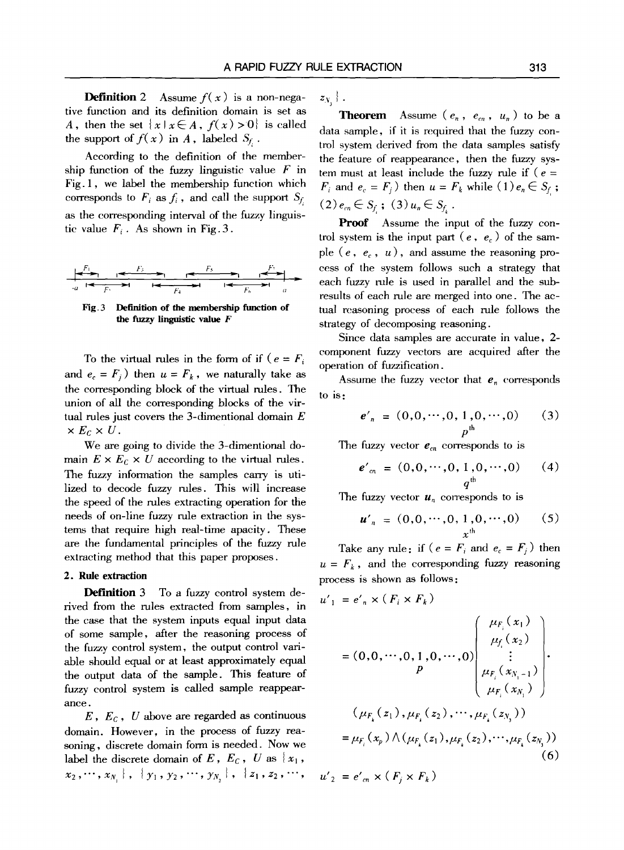**Definition** 2 Assume  $f(x)$  is a non-negative function and its definition domain is set as A, then the set  $\{x \mid x \in A, f(x) > 0\}$  is called the support of  $f(x)$  in A, labeled  $S_f$ .

According to the definition of the membership function of the fuzzy linguistic value  $F$  in Fig. 1, we label the membership function which corresponds to  $F_i$  as  $f_i$ , and call the support  $S_f$ as the corresponding interval of the fuzzy linguistic value  $F_i$ . As shown in Fig. 3.





To the virtual rules in the form of if ( $e = F_i$ ) and  $e_c = F_i$ ) then  $u = F_k$ , we naturally take as the corresponding block of the virtual rules. The union of all the corresponding blocks of the virtual rules just covers the 3-dimentional domain  $E$  $\times E_c \times U$ .

We are going to divide the 3-dimentional domain  $E \times E_c \times U$  according to the virtual rules. The fuzzy information the samples carry is utilized to decode fuzzy rules. This will increase the speed of the rules extracting operation for the needs of on-line fuzzy rule extraction in the systerns that require high real-time apacity. These are the fundamental principles of the fuzzy rule extracting method that this paper proposes.

### **2. Rule extraction**

**Definition** 3 To a fuzzy control system derived from the rules extracted from samples, in the case that the system inputs equal input data of some sample, after the reasoning process of the fuzzy control system, the output control variable should equal or at least approximately equal the output data of the sample. This feature of fuzzy control system is called sample reappearance.

 $E, E_c, U$  above are regarded as continuous domain. However, in the process of fuzzy reasoning, discrete domain form is needed. Now we label the discrete domain of  $E$ ,  $E_c$ ,  $U$  as  $\{x_1$ ,  $\{x_2, \cdots, x_{N_1}\}, \{y_1, y_2, \cdots, y_{N_2}\}, \{z_1, z_2, \cdots, z_{N_1}\}$ 

 $z_{N_i}$   $\}$  .

**Theorem** Assume  $(e_n, e_m, u_n)$  to be a data sample, if it is required that the fuzzy contro] system derived from the data samples satisfy the feature of reappearance, then the fuzzy system must at least include the fuzzy rule if ( $e =$  $F_i$  and  $e_c = F_j$ ) then  $u = F_k$  while (1)  $e_n \in S_f$ ;  $(2) e_{cn} \in S_f$ ;  $(3) u_n \in S_f$ .

**Proof** Assume the input of the fuzzy control system is the input part (e,  $e_c$ ) of the sample (e,  $e_c$ ,  $u$ ), and assume the reasoning process of the system follows such a strategy that each fuzzy rule is used in parallel and the subresults of each rule are merged into one. The actual reasoning proeess of each rule follows the strategy of decomposing reasoning.

Since data samples are accurate in value, 2 component fuzzy vectors are acquired after the operation of fuzzification.

Assume the fuzzy vector that  $e_n$  corresponds to is :

$$
e'_{n} = (0,0,\cdots,0,1,0,\cdots,0) \qquad (3)
$$

The fuzzy vector  $e_{cn}$  corresponds to is

$$
e'_{cn} = (0,0,\cdots,0,1,0,\cdots,0) \qquad (4)
$$

The fuzzy vector  $u_n$  corresponds to is

$$
\mathbf{u'}_n = (0,0,\cdots,0,\,1,0,\cdots,0) \qquad (5)
$$

Take any rule: if  $(e = F_i \text{ and } e_c = F_j)$  then  $u = F_k$ , and the corresponding fuzzy reasoning process is shown as follows:

$$
u'_{1} = e'_{n} \times (F_{i} \times F_{k})
$$
\n
$$
= (0,0,\dots,0,1,0,\dots,0) \begin{pmatrix} \mu_{F_{i}}(x_{1}) \\ \mu_{f_{i}}(x_{2}) \\ \vdots \\ \mu_{F_{i}}(x_{N_{i}-1}) \\ \mu_{F_{i}}(x_{N_{i}}) \end{pmatrix}.
$$
\n
$$
(\mu_{F_{k}}(z_{1}),\mu_{F_{k}}(z_{2}),\dots,\mu_{F_{k}}(z_{N_{k}}))
$$
\n
$$
= \mu_{F_{i}}(x_{p}) \wedge (\mu_{F_{k}}(z_{1}),\mu_{F_{k}}(z_{2}),\dots,\mu_{F_{k}}(z_{N_{k}}))
$$
\n(6)

$$
u'_{2} = e'_{cn} \times (F_j \times F_k)
$$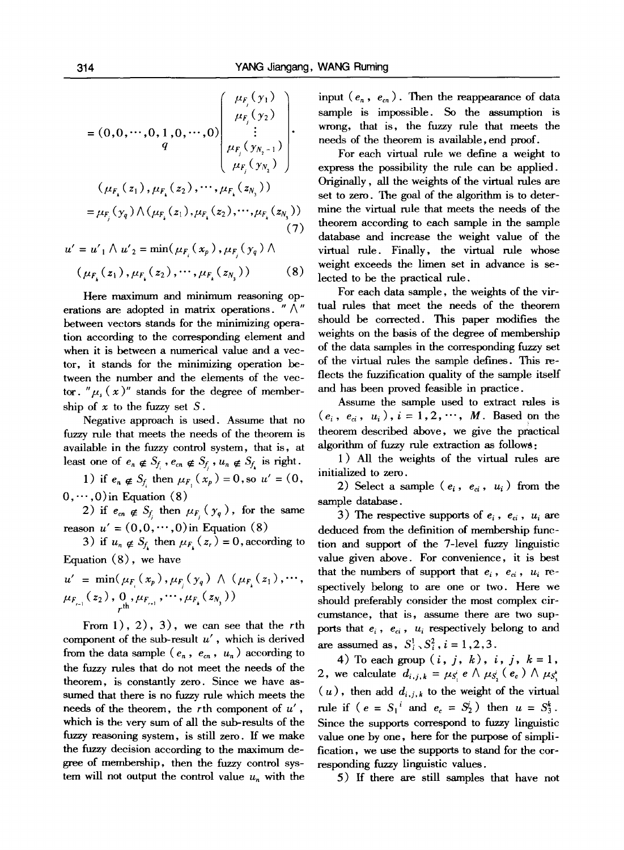$$
= (0,0,\dots,0,1,0,\dots,0) \begin{pmatrix} \mu_{F_j}(y_1) \\ \mu_{F_j}(y_2) \\ \vdots \\ \mu_{F_j}(y_{N_1-1}) \\ \mu_{F_j}(y_{N_2}) \end{pmatrix} .
$$
  

$$
(\mu_{F_k}(z_1), \mu_{F_k}(z_2), \dots, \mu_{F_k}(z_{N_1}))
$$
  

$$
= \mu_{F_j}(y_q) \wedge (\mu_{F_k}(z_1), \mu_{F_k}(z_2), \dots, \mu_{F_k}(z_{N_k}))
$$
  
(7)

$$
u' = u'_{1} \wedge u'_{2} = \min(\mu_{F_i}(x_p), \mu_{F_j}(y_q) \wedge
$$

$$
(\mu_{F_k}(z_1), \mu_{F_k}(z_2), \cdots, \mu_{F_k}(z_{N_s}))
$$
(8)

Here maximum and minimum reasoning operations are adopted in matrix operations. " $\wedge$ " between vectors stands for the minimizing operation according to the corresponding element and when it is between a numerical value and a vector, it stands for the minimizing operation between the number and the elements of the vector. " $\mu_s(x)$ " stands for the degree of membership of  $x$  to the fuzzy set  $S$ .

Negative approach is used. Assume that no fuzzy rule that meets the needs of the theorem is available in the fuzzy control system, that is, at least one of  $e_n \notin S_f$ ,  $e_{cn} \notin S_f$ ,  $u_n \notin S_f$  is right.

1) if  $e_n \notin S_f$ , then  $\mu_{F_i}(x_p)=0$ , so  $u'=(0,$  $(0, \cdots, 0)$  in Equation  $(8)$ 

2) if  $e_{cn} \notin S_{f_i}$  then  $\mu_{F_i}(\gamma_q)$ , for the same reason  $u' = (0,0,\dots,0)$  in Equation (8)

3) if  $u_n \notin S_{f_k}$  then  $\mu_{F_k}(z_r) = 0$ , according to Equation  $(8)$ , we have

$$
u' = \min(\mu_{F_i}(x_p), \mu_{F_j}(y_q) \wedge (\mu_{F_k}(z_1), \cdots, \mu_{F_{i-1}}(z_2), 0, \mu_{F_{i+1}}, \cdots, \mu_{F_k}(z_{N_3}))
$$

From  $1$ ,  $2$ ,  $3$ , we can see that the rth component of the sub-result  $u'$ , which is derived from the data sample ( $e_n$ ,  $e_{cn}$ ,  $u_n$ ) according to the fuzzy rules that do not meet the needs of the theorem, is constantly zero. Since we have assumed that there is no fuzzy rule which meets the needs of the theorem, the rth component of  $u'$ , which is the very sum of all the sub-results of the fuzzy reasoning system, is still zero. ff we make the fuzzy decision according to the maximum degree of membership, then the fuzzy control system will not output the control value  $u_n$  with the

input  $(e_n, e_m)$ . Then the reappearance of data sample is impossible. So the assumption is wrong, that is, the fuzzy rule that meets the needs of the theorem is available, end proof.

For each virtual rule we define a weight to express the possibility the rule can be applied. Originally, all the weights of the virtual rules are set to zero. The goal of the algorithm is to determine the virtual rule that meets the needs of the theorem according to each sample in the sample database and increase the weight value of the virtual rule. Finally, the virtual rule whose weight exceeds the limen set in advance is selected to be the practical rule.

For each data sample, the weights of the virtual rules that meet the needs of the theorem should be corrected. This paper modifies the weights on the basis of the degree of membership of the data samples in the corresponding fuzzy set of the virtual rules the sample defines. This reflects the fuzzification quality of the sample itself and has been proved feasible in practice.

Assume the sample used to extract rules is  $(e_i, e_{ci}, u_i), i = 1, 2, \cdots, M$ . Based on the theorem described above, we give the practical algorithm of fuzzy rule extraction as follows:

1 ) All the weights of the virtual rules are initialized to zero.

2) Select a sample  $(e_i, e_{ci}, u_i)$  from the sample database.

3) The respective supports of  $e_i$ ,  $e_{ci}$ ,  $u_i$  are deduced from the definition of membership function and support of the 7-level fuzzy linguistic value given above. For convenience, it is best that the numbers of support that  $e_i$ ,  $e_{ci}$ ,  $u_i$  respectively belong to are one or two. Here we should preferably consider the most complex circumstance, that is, assume there are two supports that  $e_i$ ,  $e_{ci}$ ,  $u_i$  respectively belong to and are assumed as,  $S_i^1, S_i^2, i = 1, 2, 3$ .

4) To each group  $(i, j, k)$ ,  $i, j, k = 1$ , 2, we calculate  $d_{i,j,k} = \mu_{S_i} e \wedge \mu_{S_i} (e_c) \wedge \mu_{S_i}$  $(u)$ , then add  $d_{i,j,k}$  to the weight of the virtual rule if ( $e = S_1^i$  and  $e_c = S_2^i$ ) then  $u = S_3^k$ . Since the supports correspond to fuzzy linguistic value one by one, here for the purpose of simplification, we use the supports to stand for the corresponding fuzzy linguistic values.

5) If there are still samples that have not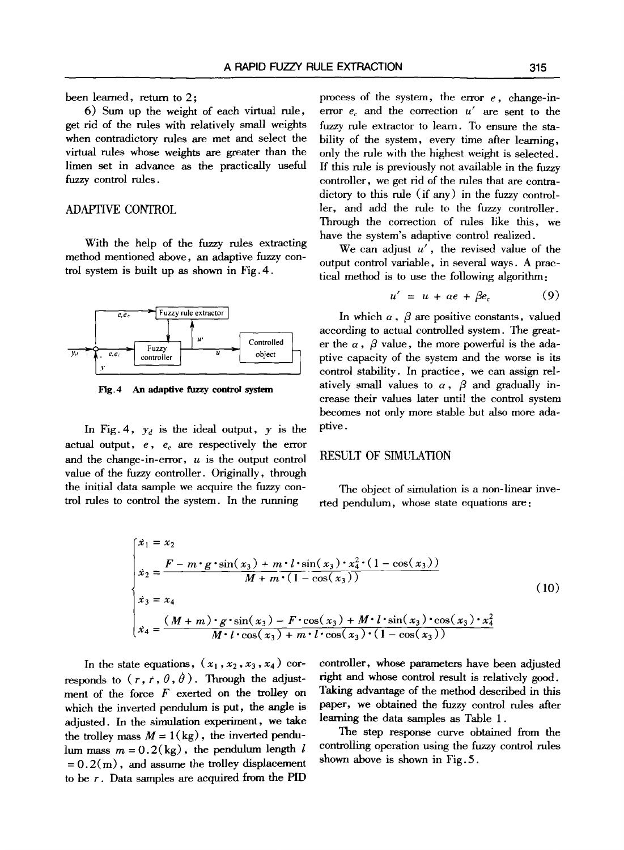been learned, return to 2;

6) Sum up the weight of each virtual rule, get rid of the rules with relatively small weights when contradictory rules are met and select the virtual rules whose weights are greater than the limen set in advance as the practically useful fuzzy control rules.

### ADAFFIVE CONTROL

With the help of the fuzzy rules extracting method mentioned above, an adaptive fuzzy control system is built up as shown in Fig. 4.



Fig.4 An adaptive fuzzy control **system** 

In Fig. 4,  $y_d$  is the ideal output,  $y$  is the actual output,  $e$ ,  $e_c$  are respectively the error and the change-in-error,  $u$  is the output control value of the fuzzy controller. Originally, through the initial data sample we acquire the fuzzy control rules to control the system. In the running

process of the system, the error  $e$ , change-inerror  $e_c$  and the correction  $u'$  are sent to the fuzzy rule extractor to learn. To ensure the stability of the system, every time after learning, only the rule with the highest weight is selected. If this rule is previously not available in the fuzzy controller, we get rid of the rules that are contradictory to this rule (if any) in the fuzzy controller, and add the rule to the fuzzy controller. Through the correction of rules like this, we have the system's adaptive control realized.

We can adjust  $u'$ , the revised value of the output control variable, in several ways. A practical method is to use the following algorithm:

$$
u' = u + \alpha e + \beta e_c \qquad (9)
$$

In which  $\alpha$ ,  $\beta$  are positive constants, valued according to actual controlled system. The greater the  $\alpha$ ,  $\beta$  value, the more powerful is the adaptive capacity of the system and the worse is its control stability. In practice, we can assign relatively small values to  $\alpha$ ,  $\beta$  and gradually increase their values later until the control system becomes not only more stable but also more adaptive.

#### RESULT OF SIMULATION

The object of simulation is a non-linear inverted pendulum, whose state equations are:

$$
\begin{cases}\n\dot{x}_1 = x_2 \\
\dot{x}_2 = \frac{F - m \cdot g \cdot \sin(x_3) + m \cdot l \cdot \sin(x_3) \cdot x_4^2 \cdot (1 - \cos(x_3))}{M + m \cdot (1 - \cos(x_3))} \\
\dot{x}_3 = x_4 \\
\dot{x}_4 = \frac{(M + m) \cdot g \cdot \sin(x_3) - F \cdot \cos(x_3) + M \cdot l \cdot \sin(x_3) \cdot \cos(x_3) \cdot x_4^2}{M \cdot l \cdot \cos(x_3) + m \cdot l \cdot \cos(x_3) \cdot (1 - \cos(x_3))}\n\end{cases}
$$
\n(10)

In the state equations,  $(x_1, x_2, x_3, x_4)$  corresponds to  $(r, r, \theta, \dot{\theta})$ . Through the adjustment of the force  $F$  exerted on the trolley on which the inverted pendulum is put, the angle is adjusted. In the simulation experiment, we take the trolley mass  $M = 1(kg)$ , the inverted pendulum mass  $m = 0.2(kg)$ , the pendulum length l  $= 0.2(m)$ , and assume the trolley displacement to be r. Data samples are acquired from the PID

controller, whose parameters have been adjusted right and whose control result is relatively good. Taking advantage of the method described in this paper, we obtained the fuzzy control rules after learning the data samples as Table 1.

The step response curve obtained from the controlling operation using the fuzzy control rules shown above is shown in Fig. 5.